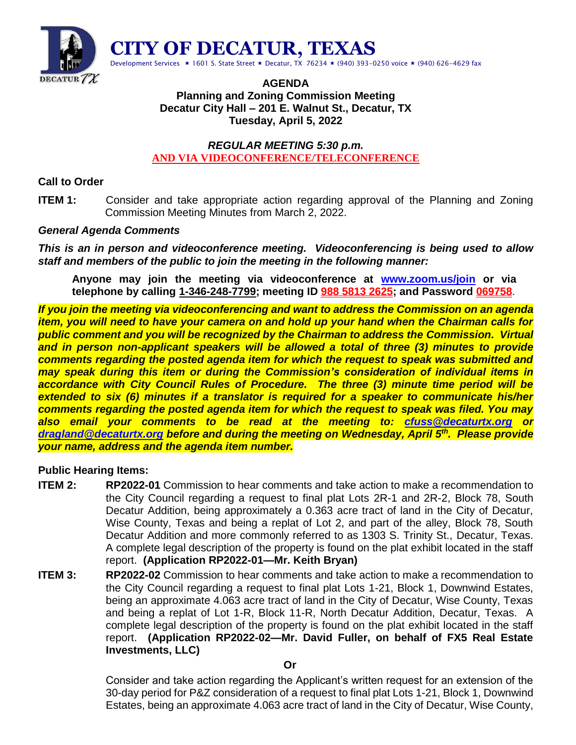

## **AGENDA Planning and Zoning Commission Meeting Decatur City Hall – 201 E. Walnut St., Decatur, TX Tuesday, April 5, 2022**

## *REGULAR MEETING 5:30 p.m.* **AND VIA VIDEOCONFERENCE/TELECONFERENCE**

# **Call to Order**

**ITEM 1:** Consider and take appropriate action regarding approval of the Planning and Zoning Commission Meeting Minutes from March 2, 2022.

# *General Agenda Comments*

*This is an in person and videoconference meeting. Videoconferencing is being used to allow staff and members of the public to join the meeting in the following manner:*

**Anyone may join the meeting via videoconference at [www.zoom.us/join](http://www.zoom.us/join) or via telephone by calling 1-346-248-7799; meeting ID 988 5813 2625; and Password 069758**.

*If you join the meeting via videoconferencing and want to address the Commission on an agenda item, you will need to have your camera on and hold up your hand when the Chairman calls for public comment and you will be recognized by the Chairman to address the Commission. Virtual and in person non-applicant speakers will be allowed a total of three (3) minutes to provide comments regarding the posted agenda item for which the request to speak was submitted and may speak during this item or during the Commission's consideration of individual items in accordance with City Council Rules of Procedure. The three (3) minute time period will be extended to six (6) minutes if a translator is required for a speaker to communicate his/her comments regarding the posted agenda item for which the request to speak was filed. You may also email your comments to be read at the meeting to: [cfuss@decaturtx.org](mailto:cfuss@decaturtx.org) or [dragland@decaturtx.org](mailto:dragland@decaturtx.org) before and during the meeting on Wednesday, April 5th. Please provide your name, address and the agenda item number.* 

### **Public Hearing Items:**

- **ITEM 2: RP2022-01** Commission to hear comments and take action to make a recommendation to the City Council regarding a request to final plat Lots 2R-1 and 2R-2, Block 78, South Decatur Addition, being approximately a 0.363 acre tract of land in the City of Decatur, Wise County, Texas and being a replat of Lot 2, and part of the alley, Block 78, South Decatur Addition and more commonly referred to as 1303 S. Trinity St., Decatur, Texas. A complete legal description of the property is found on the plat exhibit located in the staff report. **(Application RP2022-01—Mr. Keith Bryan)**
- **ITEM 3: RP2022-02** Commission to hear comments and take action to make a recommendation to the City Council regarding a request to final plat Lots 1-21, Block 1, Downwind Estates, being an approximate 4.063 acre tract of land in the City of Decatur, Wise County, Texas and being a replat of Lot 1-R, Block 11-R, North Decatur Addition, Decatur, Texas. A complete legal description of the property is found on the plat exhibit located in the staff report. **(Application RP2022-02—Mr. David Fuller, on behalf of FX5 Real Estate Investments, LLC)**

Consider and take action regarding the Applicant's written request for an extension of the 30-day period for P&Z consideration of a request to final plat Lots 1-21, Block 1, Downwind Estates, being an approximate 4.063 acre tract of land in the City of Decatur, Wise County,